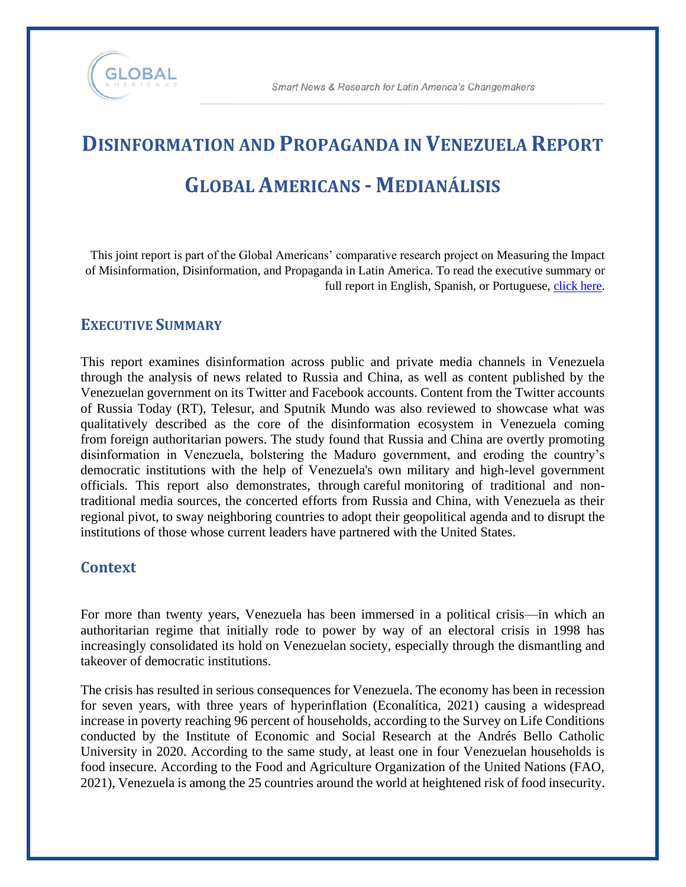

# **DISINFORMATION AND PROPAGANDA IN VENEZUELA REPORT GLOBAL AMERICANS - MEDIANÁLISIS**

This joint report is part of the Global Americans' comparative research project on Measuring the Impact of Misinformation, Disinformation, and Propaganda in Latin America. To read the executive summary or full report in English, Spanish, or Portuguese, [click here.](https://theglobalamericans.org/monitoring-foreign-disinformation-in-latin-america/)

#### **EXECUTIVE SUMMARY**

This report examines disinformation across public and private media channels in Venezuela through the analysis of news related to Russia and China, as well as content published by the Venezuelan government on its Twitter and Facebook accounts. Content from the Twitter accounts of Russia Today (RT), Telesur, and Sputnik Mundo was also reviewed to showcase what was qualitatively described as the core of the disinformation ecosystem in Venezuela coming from foreign authoritarian powers. The study found that Russia and China are overtly promoting disinformation in Venezuela, bolstering the Maduro government, and eroding the country's democratic institutions with the help of Venezuela's own military and high-level government officials. This report also demonstrates, through careful monitoring of traditional and nontraditional media sources, the concerted efforts from Russia and China, with Venezuela as their regional pivot, to sway neighboring countries to adopt their geopolitical agenda and to disrupt the institutions of those whose current leaders have partnered with the United States.

#### **Context**

For more than twenty years, Venezuela has been immersed in a political crisis—in which an authoritarian regime that initially rode to power by way of an electoral crisis in 1998 has increasingly consolidated its hold on Venezuelan society, especially through the dismantling and takeover of democratic institutions.

The crisis has resulted in serious consequences for Venezuela. The economy has been in recession for seven years, with three years of hyperinflation (Econalítica, 2021) causing a widespread increase in poverty reaching 96 percent of households, according to the Survey on Life Conditions conducted by the Institute of Economic and Social Research at the Andrés Bello Catholic University in 2020. According to the same study, at least one in four Venezuelan households is food insecure. According to the Food and Agriculture Organization of the United Nations (FAO, 2021), Venezuela is among the 25 countries around the world at heightened risk of food insecurity.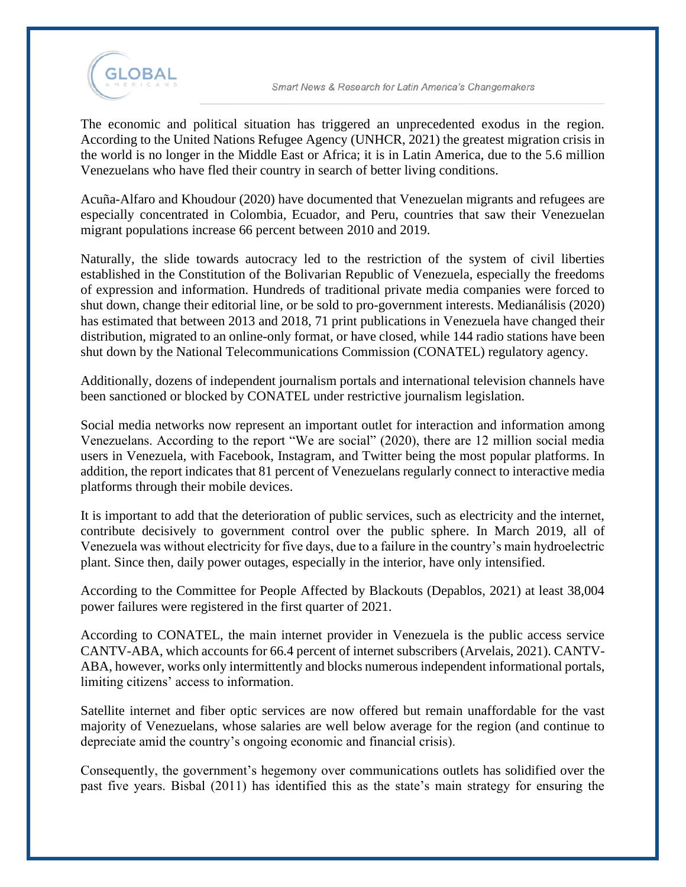

The economic and political situation has triggered an unprecedented exodus in the region. According to the United Nations Refugee Agency (UNHCR, 2021) the greatest migration crisis in the world is no longer in the Middle East or Africa; it is in Latin America, due to the 5.6 million Venezuelans who have fled their country in search of better living conditions.

Acuña-Alfaro and Khoudour (2020) have documented that Venezuelan migrants and refugees are especially concentrated in Colombia, Ecuador, and Peru, countries that saw their Venezuelan migrant populations increase 66 percent between 2010 and 2019.

Naturally, the slide towards autocracy led to the restriction of the system of civil liberties established in the Constitution of the Bolivarian Republic of Venezuela, especially the freedoms of expression and information. Hundreds of traditional private media companies were forced to shut down, change their editorial line, or be sold to pro-government interests. Medianálisis (2020) has estimated that between 2013 and 2018, 71 print publications in Venezuela have changed their distribution, migrated to an online-only format, or have closed, while 144 radio stations have been shut down by the National Telecommunications Commission (CONATEL) regulatory agency.

Additionally, dozens of independent journalism portals and international television channels have been sanctioned or blocked by CONATEL under restrictive journalism legislation.

Social media networks now represent an important outlet for interaction and information among Venezuelans. According to the report "We are social" (2020), there are 12 million social media users in Venezuela, with Facebook, Instagram, and Twitter being the most popular platforms. In addition, the report indicates that 81 percent of Venezuelans regularly connect to interactive media platforms through their mobile devices.

It is important to add that the deterioration of public services, such as electricity and the internet, contribute decisively to government control over the public sphere. In March 2019, all of Venezuela was without electricity for five days, due to a failure in the country's main hydroelectric plant. Since then, daily power outages, especially in the interior, have only intensified.

According to the Committee for People Affected by Blackouts (Depablos, 2021) at least 38,004 power failures were registered in the first quarter of 2021.

According to CONATEL, the main internet provider in Venezuela is the public access service CANTV-ABA, which accounts for 66.4 percent of internet subscribers (Arvelais, 2021). CANTV-ABA, however, works only intermittently and blocks numerous independent informational portals, limiting citizens' access to information.

Satellite internet and fiber optic services are now offered but remain unaffordable for the vast majority of Venezuelans, whose salaries are well below average for the region (and continue to depreciate amid the country's ongoing economic and financial crisis).

Consequently, the government's hegemony over communications outlets has solidified over the past five years. Bisbal (2011) has identified this as the state's main strategy for ensuring the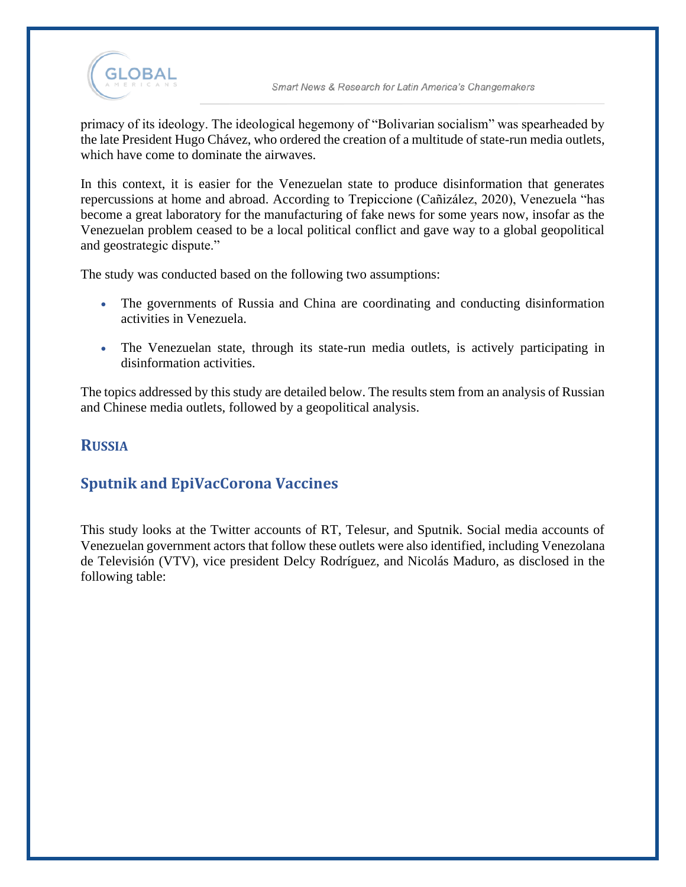

primacy of its ideology. The ideological hegemony of "Bolivarian socialism" was spearheaded by the late President Hugo Chávez, who ordered the creation of a multitude of state-run media outlets, which have come to dominate the airwaves.

In this context, it is easier for the Venezuelan state to produce disinformation that generates repercussions at home and abroad. According to Trepiccione (Cañizález, 2020), Venezuela "has become a great laboratory for the manufacturing of fake news for some years now, insofar as the Venezuelan problem ceased to be a local political conflict and gave way to a global geopolitical and geostrategic dispute."

The study was conducted based on the following two assumptions:

- The governments of Russia and China are coordinating and conducting disinformation activities in Venezuela.
- The Venezuelan state, through its state-run media outlets, is actively participating in disinformation activities.

The topics addressed by this study are detailed below. The results stem from an analysis of Russian and Chinese media outlets, followed by a geopolitical analysis.

#### **RUSSIA**

## **Sputnik and EpiVacCorona Vaccines**

This study looks at the Twitter accounts of RT, Telesur, and Sputnik. Social media accounts of Venezuelan government actors that follow these outlets were also identified, including Venezolana de Televisión (VTV), vice president Delcy Rodríguez, and Nicolás Maduro, as disclosed in the following table: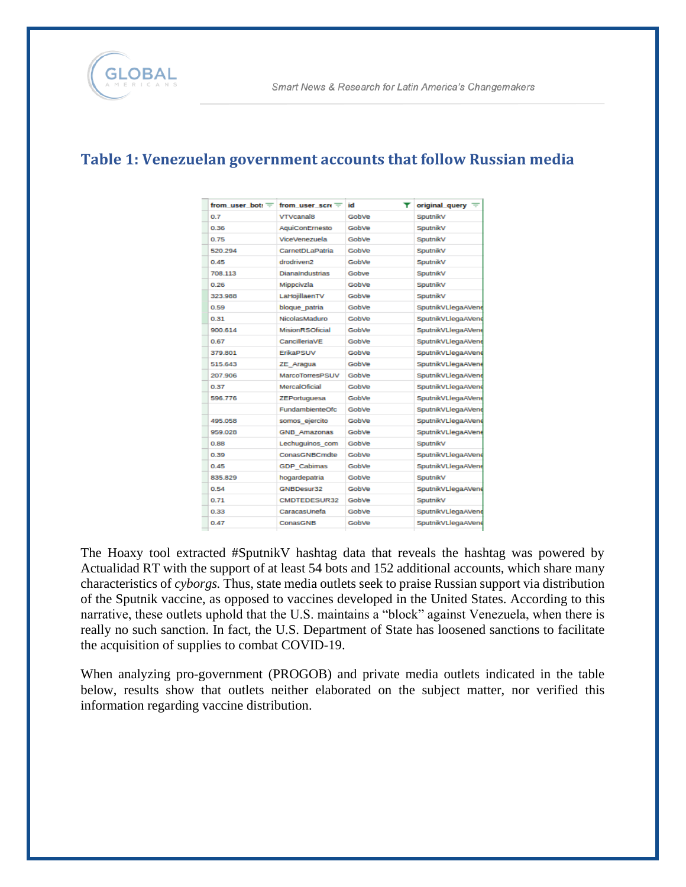## **Table 1: Venezuelan government accounts that follow Russian media**

|         | from user bot: $\mp$ from user scre $\mp$ | Ŧ.<br>id | original query $\equiv$ |
|---------|-------------------------------------------|----------|-------------------------|
| 0.7     | <b>VTVcanal8</b>                          | GobVe    | SputnikV                |
| 0.36    | AquiConErnesto                            | GobVe    | SputnikV                |
| 0.75    | <b>ViceVenezuela</b>                      | GobVe    | SoutnikV                |
| 520.294 | CarnetDLaPatria                           | GobVe    | SoutnikV                |
| 0.45    | drodriven2                                | GobVe    | SputnikV                |
| 708.113 | <b>DianaIndustrias</b>                    | Gobve    | SputnikV                |
| 0.26    | Mippcivzla                                | GobVe    | SoutnikV                |
| 323,988 | LaHojillaenTV                             | GobVe    | SputnikV                |
| 0.59    | bloque patria                             | GobVe    | SputnikVLlegaAVene      |
| 0.31    | NicolasMaduro                             | GobVe    | SputnikVLlegaAVene      |
| 900.614 | MisionRSOficial                           | GobVe    | SputnikVLlegaAVene      |
| 0.67    | CancilleriaVE                             | GobVe    | SputnikVLlegaAVene      |
| 379.801 | ErikaPSUV                                 | GobVe    | SputnikVLlegaAVene      |
| 515.643 | ZE Aragua                                 | GobVe    | SputnikVLlegaAVene      |
| 207.906 | <b>MarcoTorresPSUV</b>                    | GobVe    | SputnikVLlegaAVene      |
| 0.37    | MercalOficial                             | GobVe    | SputnikVLlegaAVene      |
| 596.776 | ZEPortuguesa                              | GobVe    | SputnikVLlegaAVene      |
|         | FundambienteOfc                           | GobVe    | SputnikVLlegaAVene      |
| 495.058 | somos ejercito                            | GobVe    | SputnikVLlegaAVene      |
| 959.028 | <b>GNB Amazonas</b>                       | GobVe    | SputnikVLlegaAVene      |
| 0.88    | Lechuguinos com                           | GobVe    | SputnikV                |
| 0.39    | ConasGNBCmdte                             | GobVe    | SputnikVLlegaAVene      |
| 0.45    | <b>GDP Cabimas</b>                        | GobVe    | SputnikVLlegaAVene      |
| 835.829 | hogardepatria                             | GobVe    | SputnikV                |
| 0.54    | GNBDesur32                                | GobVe    | SputnikVLlegaAVene      |
| 0.71    | CMDTEDESUR32                              | GobVe    | SputnikV                |
| 0.33    | CaracasUnefa                              | GobVe    | SputnikVLlegaAVene      |
| 0.47    | ConasGNB                                  | GobVe    | SputnikVLlegaAVene      |
|         |                                           |          |                         |

The Hoaxy tool extracted #SputnikV hashtag data that reveals the hashtag was powered by Actualidad RT with the support of at least 54 bots and 152 additional accounts, which share many characteristics of *cyborgs.* Thus, state media outlets seek to praise Russian support via distribution of the Sputnik vaccine, as opposed to vaccines developed in the United States. According to this narrative, these outlets uphold that the U.S. maintains a "block" against Venezuela, when there is really no such sanction. In fact, the U.S. Department of State has loosened sanctions to facilitate the acquisition of supplies to combat COVID-19.

When analyzing pro-government (PROGOB) and private media outlets indicated in the table below, results show that outlets neither elaborated on the subject matter, nor verified this information regarding vaccine distribution.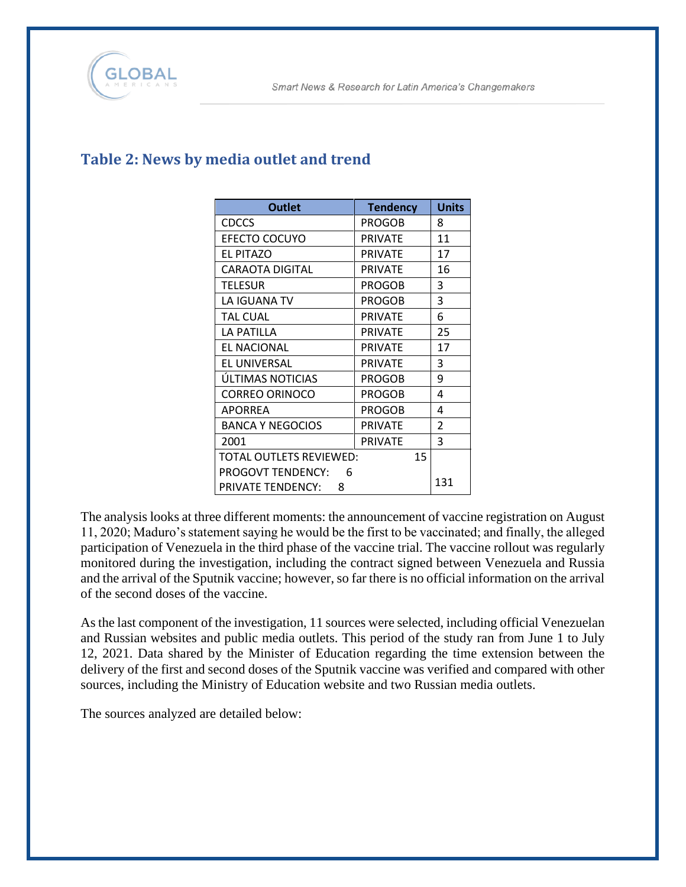

| <b>Outlet</b>                  | <b>Tendency</b> | <b>Units</b> |
|--------------------------------|-----------------|--------------|
| <b>CDCCS</b>                   | <b>PROGOB</b>   | 8            |
| EFECTO COCUYO                  | <b>PRIVATE</b>  | 11           |
| <b>EL PITAZO</b>               | <b>PRIVATE</b>  | 17           |
| <b>CARAOTA DIGITAL</b>         | <b>PRIVATE</b>  | 16           |
| <b>TELESUR</b>                 | <b>PROGOB</b>   | 3            |
| LA IGUANA TV                   | <b>PROGOB</b>   | 3            |
| <b>TAL CUAL</b>                | <b>PRIVATE</b>  | 6            |
| LA PATILLA                     | <b>PRIVATE</b>  | 25           |
| <b>EL NACIONAL</b>             | <b>PRIVATE</b>  | 17           |
| EL UNIVERSAL                   | <b>PRIVATE</b>  | 3            |
| ÚLTIMAS NOTICIAS               | PROGOB          | 9            |
| <b>CORREO ORINOCO</b>          | <b>PROGOB</b>   | 4            |
| <b>APORREA</b>                 | <b>PROGOB</b>   | 4            |
| <b>BANCA Y NEGOCIOS</b>        | <b>PRIVATE</b>  | 2            |
| 2001                           | <b>PRIVATE</b>  | 3            |
| <b>TOTAL OUTLETS REVIEWED:</b> | 15              |              |
| <b>PROGOVT TENDENCY:</b><br>6  |                 |              |
| PRIVATE TENDENCY:<br>8         |                 | 131          |

# **Table 2: News by media outlet and trend**

The analysis looks at three different moments: the announcement of vaccine registration on August 11, 2020; Maduro's statement saying he would be the first to be vaccinated; and finally, the alleged participation of Venezuela in the third phase of the vaccine trial. The vaccine rollout was regularly monitored during the investigation, including the contract signed between Venezuela and Russia and the arrival of the Sputnik vaccine; however, so far there is no official information on the arrival of the second doses of the vaccine.

As the last component of the investigation, 11 sources were selected, including official Venezuelan and Russian websites and public media outlets. This period of the study ran from June 1 to July 12, 2021. Data shared by the Minister of Education regarding the time extension between the delivery of the first and second doses of the Sputnik vaccine was verified and compared with other sources, including the Ministry of Education website and two Russian media outlets.

The sources analyzed are detailed below: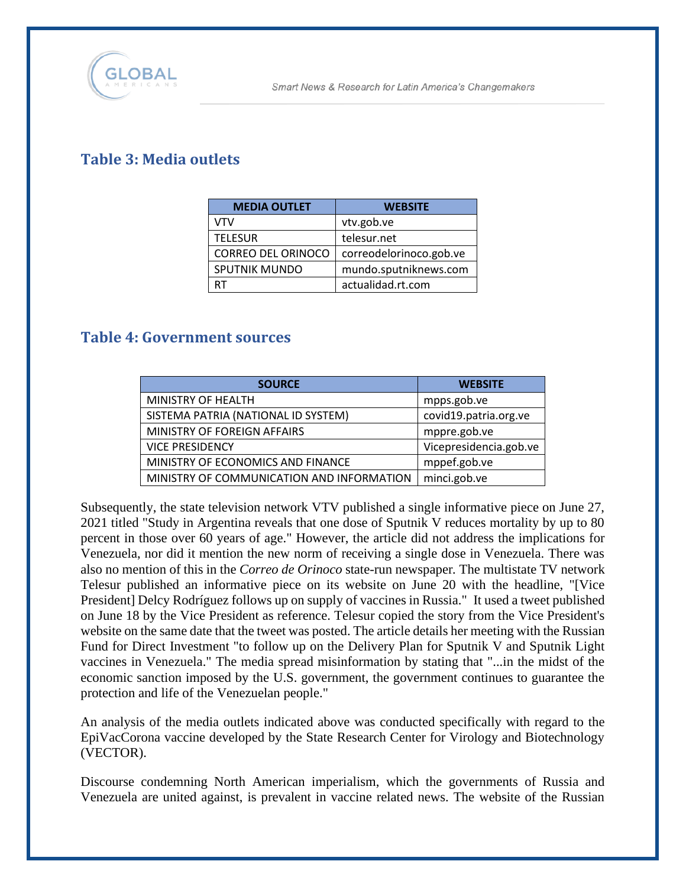

## **Table 3: Media outlets**

| <b>MEDIA OUTLET</b>       | <b>WEBSITE</b>          |
|---------------------------|-------------------------|
| VTV                       | vtv.gob.ve              |
| <b>TELESUR</b>            | telesur.net             |
| <b>CORREO DEL ORINOCO</b> | correodelorinoco.gob.ve |
| <b>SPUTNIK MUNDO</b>      | mundo.sputniknews.com   |
| RT                        | actualidad.rt.com       |

#### **Table 4: Government sources**

| <b>SOURCE</b>                             | <b>WEBSITE</b>         |
|-------------------------------------------|------------------------|
| MINISTRY OF HEALTH                        | mpps.gob.ve            |
| SISTEMA PATRIA (NATIONAL ID SYSTEM)       | covid19.patria.org.ve  |
| MINISTRY OF FOREIGN AFFAIRS               | mppre.gob.ve           |
| <b>VICE PRESIDENCY</b>                    | Vicepresidencia.gob.ve |
| MINISTRY OF ECONOMICS AND FINANCE         | mppef.gob.ve           |
| MINISTRY OF COMMUNICATION AND INFORMATION | minci.gob.ve           |

Subsequently, the state television network VTV published a single informative piece on June 27, 2021 titled "Study in Argentina reveals that one dose of Sputnik V reduces mortality by up to 80 percent in those over 60 years of age." However, the article did not address the implications for Venezuela, nor did it mention the new norm of receiving a single dose in Venezuela. There was also no mention of this in the *Correo de Orinoco* state-run newspaper*.* The multistate TV network Telesur published an informative piece on its website on June 20 with the headline, "[Vice President] Delcy Rodríguez follows up on supply of vaccines in Russia." It used a tweet published on June 18 by the Vice President as reference. Telesur copied the story from the Vice President's website on the same date that the tweet was posted. The article details her meeting with the Russian Fund for Direct Investment "to follow up on the Delivery Plan for Sputnik V and Sputnik Light vaccines in Venezuela." The media spread misinformation by stating that "...in the midst of the economic sanction imposed by the U.S. government, the government continues to guarantee the protection and life of the Venezuelan people."

An analysis of the media outlets indicated above was conducted specifically with regard to the EpiVacCorona vaccine developed by the State Research Center for Virology and Biotechnology (VECTOR).

Discourse condemning North American imperialism, which the governments of Russia and Venezuela are united against, is prevalent in vaccine related news. The website of the Russian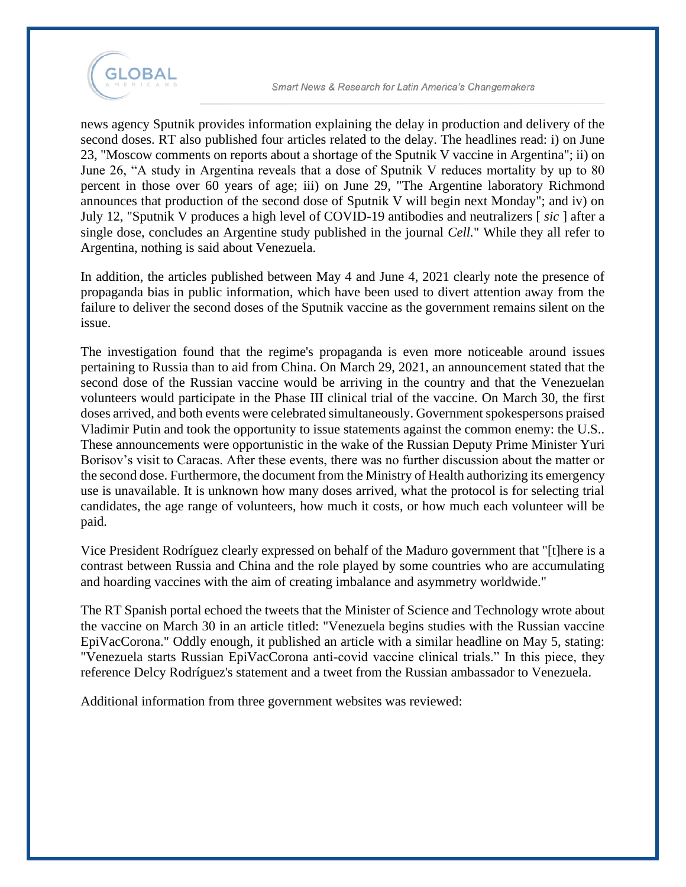

news agency Sputnik provides information explaining the delay in production and delivery of the second doses. RT also published four articles related to the delay. The headlines read: i) on June 23, "Moscow comments on reports about a shortage of the Sputnik V vaccine in Argentina"; ii) on June 26, "A study in Argentina reveals that a dose of Sputnik V reduces mortality by up to 80 percent in those over 60 years of age; iii) on June 29, "The Argentine laboratory Richmond announces that production of the second dose of Sputnik V will begin next Monday"; and iv) on July 12, "Sputnik V produces a high level of COVID-19 antibodies and neutralizers [ *sic* ] after a single dose, concludes an Argentine study published in the journal *Cell.*" While they all refer to Argentina, nothing is said about Venezuela.

In addition, the articles published between May 4 and June 4, 2021 clearly note the presence of propaganda bias in public information, which have been used to divert attention away from the failure to deliver the second doses of the Sputnik vaccine as the government remains silent on the issue.

The investigation found that the regime's propaganda is even more noticeable around issues pertaining to Russia than to aid from China. On March 29, 2021, an announcement stated that the second dose of the Russian vaccine would be arriving in the country and that the Venezuelan volunteers would participate in the Phase III clinical trial of the vaccine. On March 30, the first doses arrived, and both events were celebrated simultaneously. Government spokespersons praised Vladimir Putin and took the opportunity to issue statements against the common enemy: the U.S.. These announcements were opportunistic in the wake of the Russian Deputy Prime Minister Yuri Borisov's visit to Caracas. After these events, there was no further discussion about the matter or the second dose. Furthermore, the document from the Ministry of Health authorizing its emergency use is unavailable. It is unknown how many doses arrived, what the protocol is for selecting trial candidates, the age range of volunteers, how much it costs, or how much each volunteer will be paid.

Vice President Rodríguez clearly expressed on behalf of the Maduro government that "[t]here is a contrast between Russia and China and the role played by some countries who are accumulating and hoarding vaccines with the aim of creating imbalance and asymmetry worldwide."

The RT Spanish portal echoed the tweets that the Minister of Science and Technology wrote about the vaccine on March 30 in an article titled: "Venezuela begins studies with the Russian vaccine EpiVacCorona." Oddly enough, it published an article with a similar headline on May 5, stating: "Venezuela starts Russian EpiVacCorona anti-covid vaccine clinical trials." In this piece, they reference Delcy Rodríguez's statement and a tweet from the Russian ambassador to Venezuela.

Additional information from three government websites was reviewed: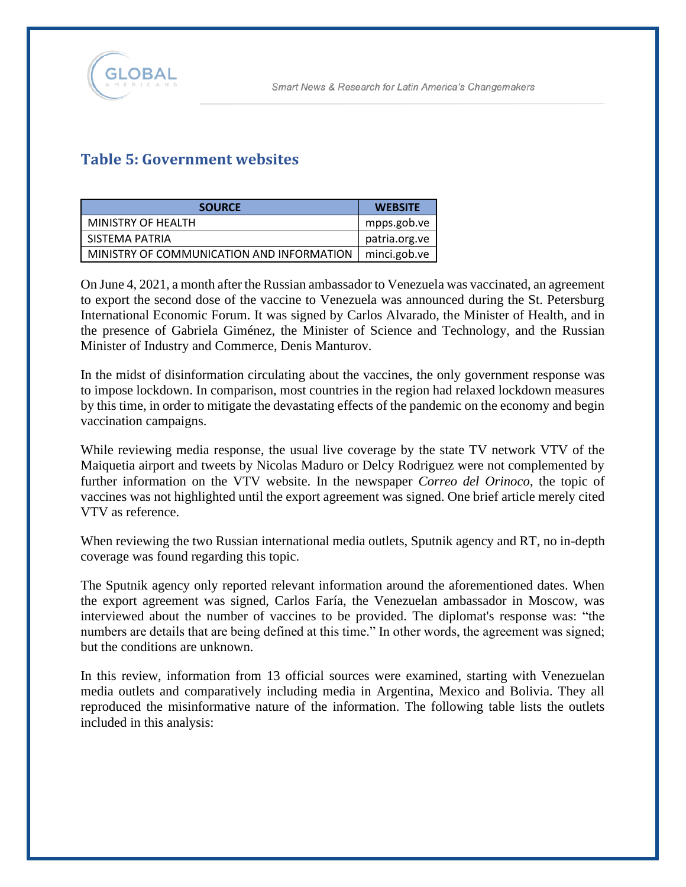

# **Table 5: Government websites**

| <b>SOURCE</b>                             | <b>WEBSITE</b>      |
|-------------------------------------------|---------------------|
| MINISTRY OF HEALTH                        | mpps.gob.ve         |
| SISTEMA PATRIA                            | patria.org.ve       |
| MINISTRY OF COMMUNICATION AND INFORMATION | $\mid$ minci.gob.ve |

On June 4, 2021, a month after the Russian ambassador to Venezuela was vaccinated, an agreement to export the second dose of the vaccine to Venezuela was announced during the St. Petersburg International Economic Forum. It was signed by Carlos Alvarado, the Minister of Health, and in the presence of Gabriela Giménez, the Minister of Science and Technology, and the Russian Minister of Industry and Commerce, Denis Manturov.

In the midst of disinformation circulating about the vaccines, the only government response was to impose lockdown. In comparison, most countries in the region had relaxed lockdown measures by this time, in order to mitigate the devastating effects of the pandemic on the economy and begin vaccination campaigns.

While reviewing media response, the usual live coverage by the state TV network VTV of the Maiquetia airport and tweets by Nicolas Maduro or Delcy Rodriguez were not complemented by further information on the VTV website. In the newspaper *Correo del Orinoco*, the topic of vaccines was not highlighted until the export agreement was signed. One brief article merely cited VTV as reference.

When reviewing the two Russian international media outlets, Sputnik agency and RT, no in-depth coverage was found regarding this topic.

The Sputnik agency only reported relevant information around the aforementioned dates. When the export agreement was signed, Carlos Faría, the Venezuelan ambassador in Moscow, was interviewed about the number of vaccines to be provided. The diplomat's response was: "the numbers are details that are being defined at this time." In other words, the agreement was signed; but the conditions are unknown.

In this review, information from 13 official sources were examined, starting with Venezuelan media outlets and comparatively including media in Argentina, Mexico and Bolivia. They all reproduced the misinformative nature of the information. The following table lists the outlets included in this analysis: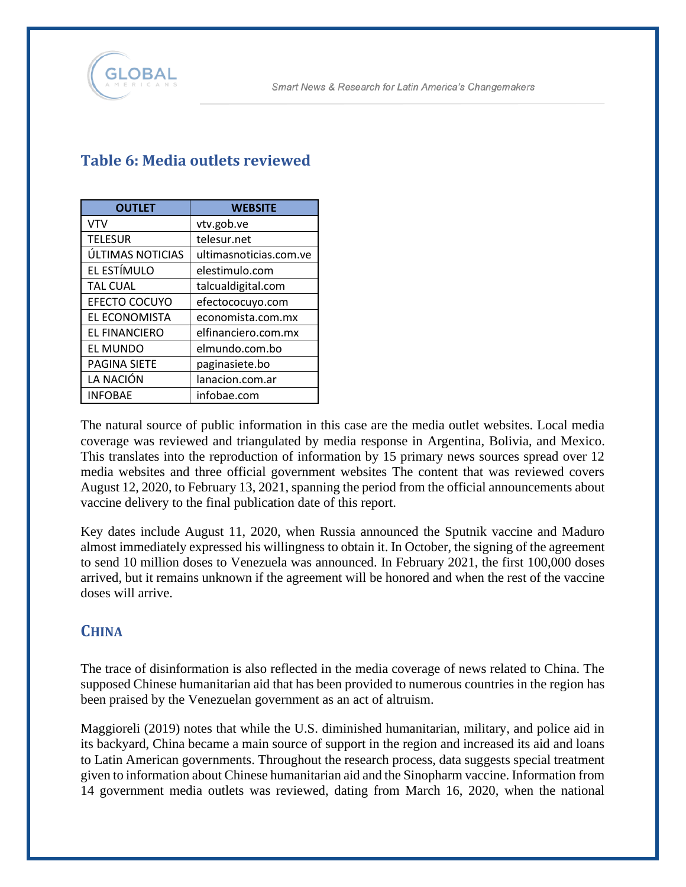

| <b>OUTLET</b>        | <b>WEBSITE</b>         |
|----------------------|------------------------|
| <b>VTV</b>           | vtv.gob.ve             |
| <b>TELESUR</b>       | telesur.net            |
| ÚLTIMAS NOTICIAS     | ultimasnoticias.com.ve |
| EL ESTÍMULO          | elestimulo.com         |
| <b>TAL CUAL</b>      | talcualdigital.com     |
| <b>EFECTO COCUYO</b> | efectococuyo.com       |
| EL ECONOMISTA        | economista.com.mx      |
| <b>EL FINANCIERO</b> | elfinanciero.com.mx    |
| EL MUNDO             | elmundo.com.bo         |
| <b>PAGINA SIETE</b>  | paginasiete.bo         |
| LA NACIÓN            | lanacion.com.ar        |
| <b>INFOBAE</b>       | infobae.com            |

## **Table 6: Media outlets reviewed**

The natural source of public information in this case are the media outlet websites. Local media coverage was reviewed and triangulated by media response in Argentina, Bolivia, and Mexico. This translates into the reproduction of information by 15 primary news sources spread over 12 media websites and three official government websites The content that was reviewed covers August 12, 2020, to February 13, 2021, spanning the period from the official announcements about vaccine delivery to the final publication date of this report.

Key dates include August 11, 2020, when Russia announced the Sputnik vaccine and Maduro almost immediately expressed his willingness to obtain it. In October, the signing of the agreement to send 10 million doses to Venezuela was announced. In February 2021, the first 100,000 doses arrived, but it remains unknown if the agreement will be honored and when the rest of the vaccine doses will arrive.

# **CHINA**

The trace of disinformation is also reflected in the media coverage of news related to China. The supposed Chinese humanitarian aid that has been provided to numerous countries in the region has been praised by the Venezuelan government as an act of altruism.

Maggioreli (2019) notes that while the U.S. diminished humanitarian, military, and police aid in its backyard, China became a main source of support in the region and increased its aid and loans to Latin American governments. Throughout the research process, data suggests special treatment given to information about Chinese humanitarian aid and the Sinopharm vaccine. Information from 14 government media outlets was reviewed, dating from March 16, 2020, when the national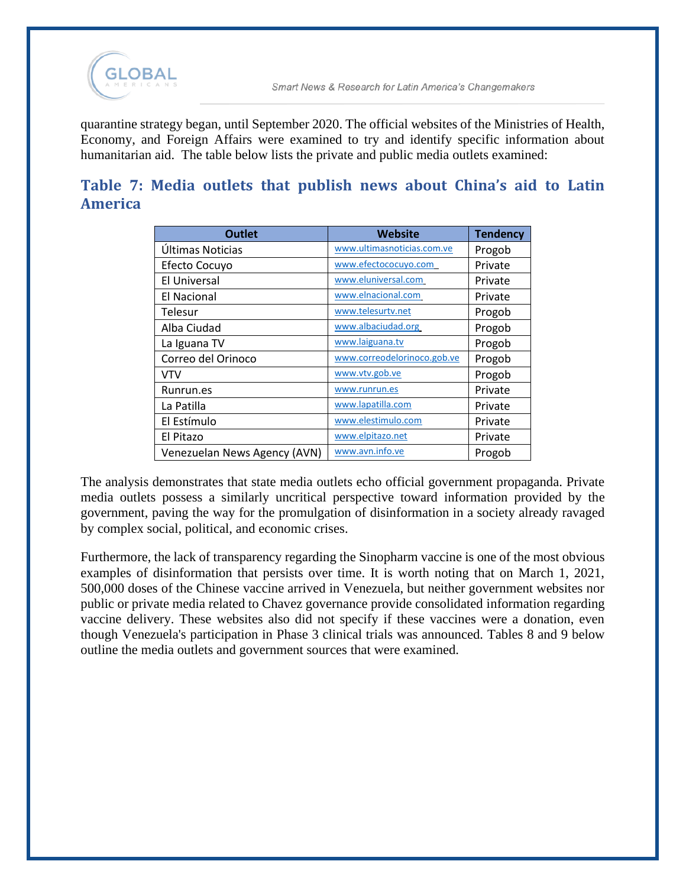

quarantine strategy began, until September 2020. The official websites of the Ministries of Health, Economy, and Foreign Affairs were examined to try and identify specific information about humanitarian aid. The table below lists the private and public media outlets examined:

## **Table 7: Media outlets that publish news about China's aid to Latin America**

| <b>Outlet</b>                | <b>Website</b>              | <b>Tendency</b> |
|------------------------------|-----------------------------|-----------------|
| Últimas Noticias             | www.ultimasnoticias.com.ve  | Progob          |
| Efecto Cocuyo                | www.efectococuyo.com        | Private         |
| El Universal                 | www.eluniversal.com         | Private         |
| <b>El Nacional</b>           | www.elnacional.com          | Private         |
| Telesur                      | www.telesurtv.net           | Progob          |
| Alba Ciudad                  | www.albaciudad.org          | Progob          |
| La Iguana TV                 | www.laiguana.tv             | Progob          |
| Correo del Orinoco           | www.correodelorinoco.gob.ve | Progob          |
| <b>VTV</b>                   | www.vtv.gob.ve              | Progob          |
| Runrun.es                    | www.runrun.es               | Private         |
| La Patilla                   | www.lapatilla.com           | Private         |
| El Estímulo                  | www.elestimulo.com          | Private         |
| El Pitazo                    | www.elpitazo.net            | Private         |
| Venezuelan News Agency (AVN) | www.avn.info.ve             | Progob          |

The analysis demonstrates that state media outlets echo official government propaganda. Private media outlets possess a similarly uncritical perspective toward information provided by the government, paving the way for the promulgation of disinformation in a society already ravaged by complex social, political, and economic crises.

Furthermore, the lack of transparency regarding the Sinopharm vaccine is one of the most obvious examples of disinformation that persists over time. It is worth noting that on March 1, 2021, 500,000 doses of the Chinese vaccine arrived in Venezuela, but neither government websites nor public or private media related to Chavez governance provide consolidated information regarding vaccine delivery. These websites also did not specify if these vaccines were a donation, even though Venezuela's participation in Phase 3 clinical trials was announced. Tables 8 and 9 below outline the media outlets and government sources that were examined.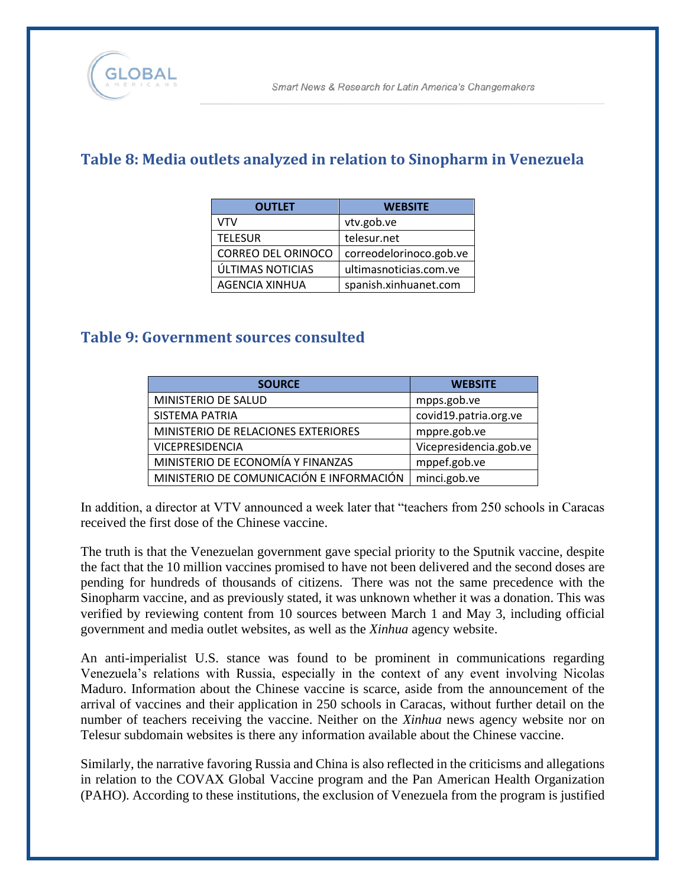# **Table 8: Media outlets analyzed in relation to Sinopharm in Venezuela**

| <b>OUTLET</b>             | <b>WEBSITE</b>          |
|---------------------------|-------------------------|
| VTV                       | vtv.gob.ve              |
| <b>TELESUR</b>            | telesur.net             |
| <b>CORREO DEL ORINOCO</b> | correodelorinoco.gob.ve |
| ÚLTIMAS NOTICIAS          | ultimasnoticias.com.ve  |
| <b>AGENCIA XINHUA</b>     | spanish.xinhuanet.com   |

#### **Table 9: Government sources consulted**

| <b>SOURCE</b>                            | <b>WEBSITE</b>         |
|------------------------------------------|------------------------|
| MINISTERIO DE SALUD                      | mpps.gob.ve            |
| SISTEMA PATRIA                           | covid19.patria.org.ve  |
| MINISTERIO DE RELACIONES EXTERIORES      | mppre.gob.ve           |
| <b>VICEPRESIDENCIA</b>                   | Vicepresidencia.gob.ve |
| MINISTERIO DE ECONOMÍA Y FINANZAS        | mppef.gob.ve           |
| MINISTERIO DE COMUNICACIÓN E INFORMACIÓN | minci.gob.ve           |

In addition, a director at VTV announced a week later that "teachers from 250 schools in Caracas received the first dose of the Chinese vaccine.

The truth is that the Venezuelan government gave special priority to the Sputnik vaccine, despite the fact that the 10 million vaccines promised to have not been delivered and the second doses are pending for hundreds of thousands of citizens. There was not the same precedence with the Sinopharm vaccine, and as previously stated, it was unknown whether it was a donation. This was verified by reviewing content from 10 sources between March 1 and May 3, including official government and media outlet websites, as well as the *Xinhua* agency website.

An anti-imperialist U.S. stance was found to be prominent in communications regarding Venezuela's relations with Russia, especially in the context of any event involving Nicolas Maduro. Information about the Chinese vaccine is scarce, aside from the announcement of the arrival of vaccines and their application in 250 schools in Caracas, without further detail on the number of teachers receiving the vaccine. Neither on the *Xinhua* news agency website nor on Telesur subdomain websites is there any information available about the Chinese vaccine.

Similarly, the narrative favoring Russia and China is also reflected in the criticisms and allegations in relation to the COVAX Global Vaccine program and the Pan American Health Organization (PAHO). According to these institutions, the exclusion of Venezuela from the program is justified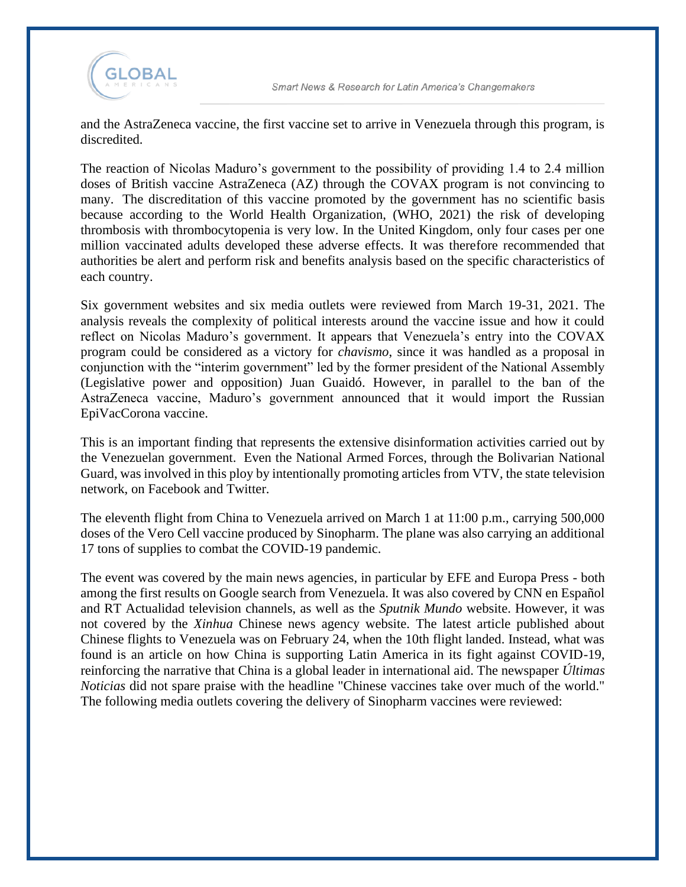

and the AstraZeneca vaccine, the first vaccine set to arrive in Venezuela through this program, is discredited.

The reaction of Nicolas Maduro's government to the possibility of providing 1.4 to 2.4 million doses of British vaccine AstraZeneca (AZ) through the COVAX program is not convincing to many. The discreditation of this vaccine promoted by the government has no scientific basis because according to the World Health Organization, (WHO, 2021) the risk of developing thrombosis with thrombocytopenia is very low. In the United Kingdom, only four cases per one million vaccinated adults developed these adverse effects. It was therefore recommended that authorities be alert and perform risk and benefits analysis based on the specific characteristics of each country.

Six government websites and six media outlets were reviewed from March 19-31, 2021. The analysis reveals the complexity of political interests around the vaccine issue and how it could reflect on Nicolas Maduro's government. It appears that Venezuela's entry into the COVAX program could be considered as a victory for *chavismo*, since it was handled as a proposal in conjunction with the "interim government" led by the former president of the National Assembly (Legislative power and opposition) Juan Guaidó. However, in parallel to the ban of the AstraZeneca vaccine, Maduro's government announced that it would import the Russian EpiVacCorona vaccine.

This is an important finding that represents the extensive disinformation activities carried out by the Venezuelan government. Even the National Armed Forces, through the Bolivarian National Guard, was involved in this ploy by intentionally promoting articles from VTV, the state television network, on Facebook and Twitter.

The eleventh flight from China to Venezuela arrived on March 1 at 11:00 p.m., carrying 500,000 doses of the Vero Cell vaccine produced by Sinopharm. The plane was also carrying an additional 17 tons of supplies to combat the COVID-19 pandemic.

The event was covered by the main news agencies, in particular by EFE and Europa Press - both among the first results on Google search from Venezuela. It was also covered by CNN en Español and RT Actualidad television channels, as well as the *Sputnik Mundo* website. However, it was not covered by the *Xinhua* Chinese news agency website. The latest article published about Chinese flights to Venezuela was on February 24, when the 10th flight landed. Instead, what was found is an article on how China is supporting Latin America in its fight against COVID-19, reinforcing the narrative that China is a global leader in international aid. The newspaper *Últimas Noticias* did not spare praise with the headline "Chinese vaccines take over much of the world." The following media outlets covering the delivery of Sinopharm vaccines were reviewed: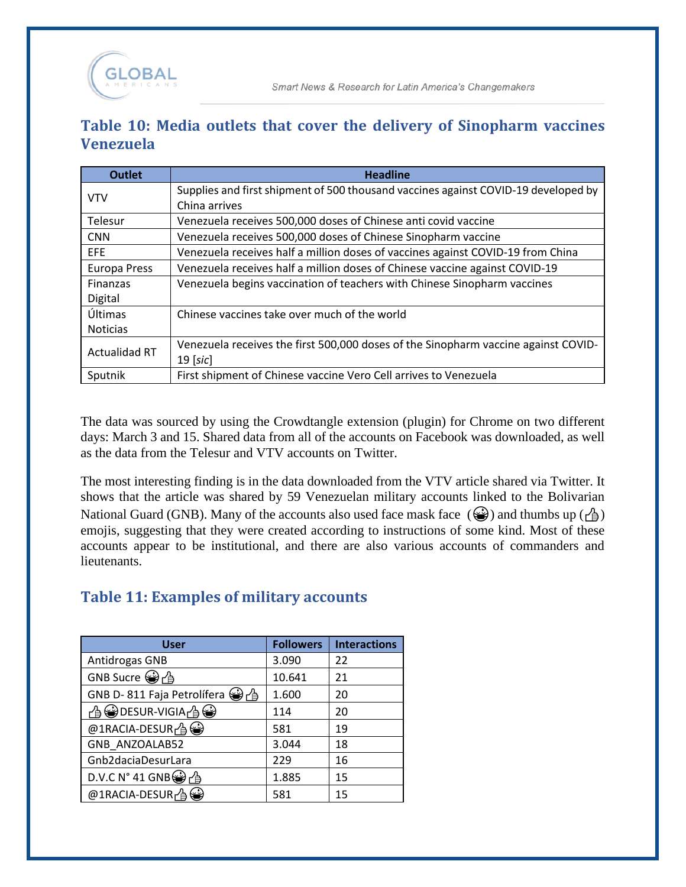## **Table 10: Media outlets that cover the delivery of Sinopharm vaccines Venezuela**

| <b>Outlet</b>        | <b>Headline</b>                                                                    |
|----------------------|------------------------------------------------------------------------------------|
| <b>VTV</b>           | Supplies and first shipment of 500 thousand vaccines against COVID-19 developed by |
|                      | China arrives                                                                      |
| Telesur              | Venezuela receives 500,000 doses of Chinese anti covid vaccine                     |
| <b>CNN</b>           | Venezuela receives 500,000 doses of Chinese Sinopharm vaccine                      |
| EFE                  | Venezuela receives half a million doses of vaccines against COVID-19 from China    |
| <b>Europa Press</b>  | Venezuela receives half a million doses of Chinese vaccine against COVID-19        |
| Finanzas             | Venezuela begins vaccination of teachers with Chinese Sinopharm vaccines           |
| Digital              |                                                                                    |
| Últimas              | Chinese vaccines take over much of the world                                       |
| <b>Noticias</b>      |                                                                                    |
| <b>Actualidad RT</b> | Venezuela receives the first 500,000 doses of the Sinopharm vaccine against COVID- |
|                      | $19$ [sic]                                                                         |
| Sputnik              | First shipment of Chinese vaccine Vero Cell arrives to Venezuela                   |

The data was sourced by using the Crowdtangle extension (plugin) for Chrome on two different days: March 3 and 15. Shared data from all of the accounts on Facebook was downloaded, as well as the data from the Telesur and VTV accounts on Twitter.

The most interesting finding is in the data downloaded from the VTV article shared via Twitter. It shows that the article was shared by 59 Venezuelan military accounts linked to the Bolivarian National Guard (GNB). Many of the accounts also used face mask face  $(\mathcal{Q})$  and thumbs up  $(\mathcal{A})$ emojis, suggesting that they were created according to instructions of some kind. Most of these accounts appear to be institutional, and there are also various accounts of commanders and lieutenants.

# **Table 11: Examples of military accounts**

| User                                   | <b>Followers</b> | <b>Interactions</b> |
|----------------------------------------|------------------|---------------------|
| Antidrogas GNB                         | 3.090            | 22                  |
| GNB Sucre 曾凸                           | 10.641           | 21                  |
| GNB D-811 Faja Petrolífera → 台         | 1.600            | 20                  |
|                                        | 114              | 20                  |
| $@1$ RACIA-DESUR $\bigcap$ $\bigoplus$ | 581              | 19                  |
| GNB ANZOALAB52                         | 3.044            | 18                  |
| Gnb2daciaDesurLara                     | 229              | 16                  |
| D.V.C N° 41 GNB $\bigcirc$ $\uparrow$  | 1.885            | 15                  |
| @1RACIA-DESUR $\oplus$                 | 581              | 15                  |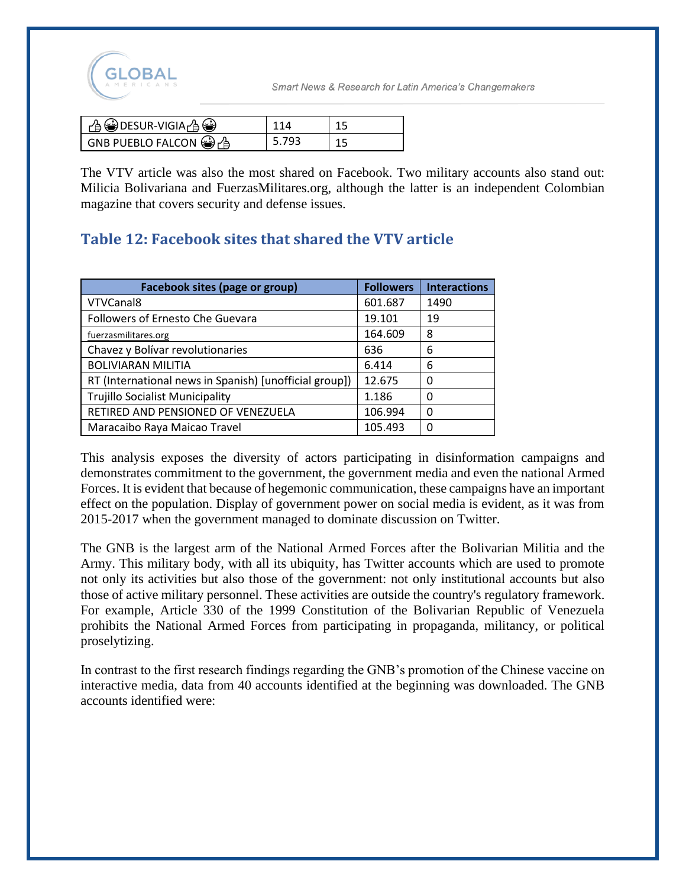

| ⊩ උි မြဲDESUR-VIGIA උි මු                  |       |  |
|--------------------------------------------|-------|--|
| $\Box$ GNB PUEBLO FALCON $\bigcirc$ $\Box$ | 5.793 |  |

The VTV article was also the most shared on Facebook. Two military accounts also stand out: Milicia Bolivariana and FuerzasMilitares.org, although the latter is an independent Colombian magazine that covers security and defense issues.

# **Table 12: Facebook sites that shared the VTV article**

| Facebook sites (page or group)                         | <b>Followers</b> | <b>Interactions</b> |
|--------------------------------------------------------|------------------|---------------------|
| VTVCanal8                                              | 601.687          | 1490                |
| Followers of Ernesto Che Guevara                       | 19.101           | 19                  |
| fuerzasmilitares.org                                   | 164.609          | 8                   |
| Chavez y Bolívar revolutionaries                       | 636              | 6                   |
| <b>BOLIVIARAN MILITIA</b>                              | 6.414            | 6                   |
| RT (International news in Spanish) [unofficial group]) | 12.675           | 0                   |
| <b>Trujillo Socialist Municipality</b>                 | 1.186            | 0                   |
| RETIRED AND PENSIONED OF VENEZUELA                     | 106.994          | 0                   |
| Maracaibo Raya Maicao Travel                           | 105.493          | 0                   |

This analysis exposes the diversity of actors participating in disinformation campaigns and demonstrates commitment to the government, the government media and even the national Armed Forces. It is evident that because of hegemonic communication, these campaigns have an important effect on the population. Display of government power on social media is evident, as it was from 2015-2017 when the government managed to dominate discussion on Twitter.

The GNB is the largest arm of the National Armed Forces after the Bolivarian Militia and the Army. This military body, with all its ubiquity, has Twitter accounts which are used to promote not only its activities but also those of the government: not only institutional accounts but also those of active military personnel. These activities are outside the country's regulatory framework. For example, Article 330 of the 1999 Constitution of the Bolivarian Republic of Venezuela prohibits the National Armed Forces from participating in propaganda, militancy, or political proselytizing.

In contrast to the first research findings regarding the GNB's promotion of the Chinese vaccine on interactive media, data from 40 accounts identified at the beginning was downloaded. The GNB accounts identified were: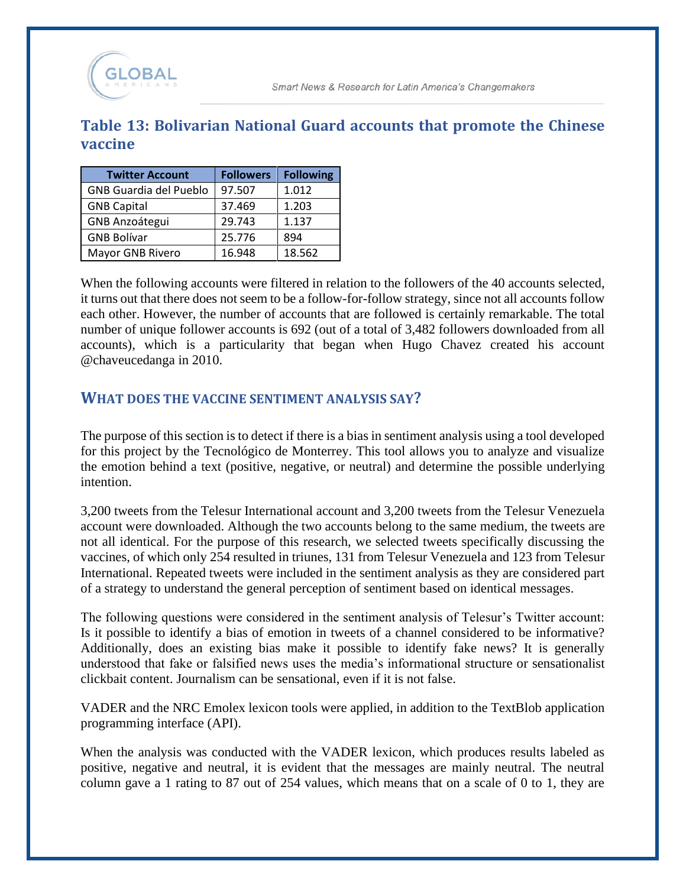

#### **Table 13: Bolivarian National Guard accounts that promote the Chinese vaccine**

| <b>Twitter Account</b>        | <b>Followers</b> | <b>Following</b> |
|-------------------------------|------------------|------------------|
| <b>GNB Guardia del Pueblo</b> | 97.507           | 1.012            |
| <b>GNB Capital</b>            | 37.469           | 1.203            |
| <b>GNB Anzoátegui</b>         | 29.743           | 1.137            |
| <b>GNB Bolívar</b>            | 25.776           | 894              |
| Mayor GNB Rivero              | 16.948           | 18.562           |

When the following accounts were filtered in relation to the followers of the 40 accounts selected, it turns out that there does not seem to be a follow-for-follow strategy, since not all accounts follow each other. However, the number of accounts that are followed is certainly remarkable. The total number of unique follower accounts is 692 (out of a total of 3,482 followers downloaded from all accounts), which is a particularity that began when Hugo Chavez created his account @chaveucedanga in 2010.

#### **WHAT DOES THE VACCINE SENTIMENT ANALYSIS SAY?**

The purpose of this section is to detect if there is a bias in sentiment analysis using a tool developed for this project by the Tecnológico de Monterrey. This tool allows you to analyze and visualize the emotion behind a text (positive, negative, or neutral) and determine the possible underlying intention.

3,200 tweets from the Telesur International account and 3,200 tweets from the Telesur Venezuela account were downloaded. Although the two accounts belong to the same medium, the tweets are not all identical. For the purpose of this research, we selected tweets specifically discussing the vaccines, of which only 254 resulted in triunes, 131 from Telesur Venezuela and 123 from Telesur International. Repeated tweets were included in the sentiment analysis as they are considered part of a strategy to understand the general perception of sentiment based on identical messages.

The following questions were considered in the sentiment analysis of Telesur's Twitter account: Is it possible to identify a bias of emotion in tweets of a channel considered to be informative? Additionally, does an existing bias make it possible to identify fake news? It is generally understood that fake or falsified news uses the media's informational structure or sensationalist clickbait content. Journalism can be sensational, even if it is not false.

VADER and the NRC Emolex lexicon tools were applied, in addition to the TextBlob application programming interface (API).

When the analysis was conducted with the VADER lexicon, which produces results labeled as positive, negative and neutral, it is evident that the messages are mainly neutral. The neutral column gave a 1 rating to 87 out of 254 values, which means that on a scale of 0 to 1, they are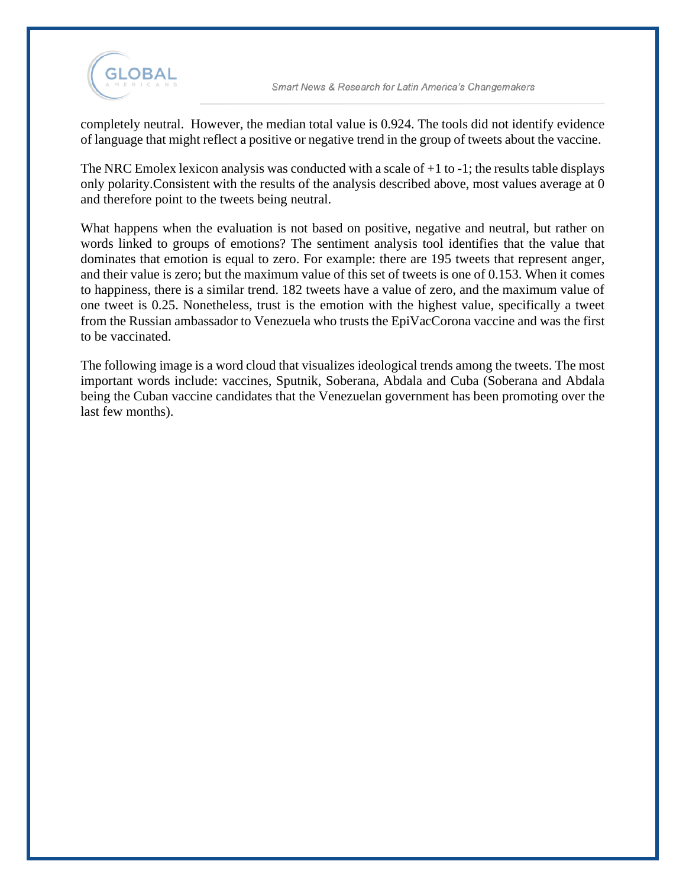

completely neutral. However, the median total value is 0.924. The tools did not identify evidence of language that might reflect a positive or negative trend in the group of tweets about the vaccine.

The NRC Emolex lexicon analysis was conducted with a scale of  $+1$  to  $-1$ ; the results table displays only polarity.Consistent with the results of the analysis described above, most values average at 0 and therefore point to the tweets being neutral.

What happens when the evaluation is not based on positive, negative and neutral, but rather on words linked to groups of emotions? The sentiment analysis tool identifies that the value that dominates that emotion is equal to zero. For example: there are 195 tweets that represent anger, and their value is zero; but the maximum value of this set of tweets is one of 0.153. When it comes to happiness, there is a similar trend. 182 tweets have a value of zero, and the maximum value of one tweet is 0.25. Nonetheless, trust is the emotion with the highest value, specifically a tweet from the Russian ambassador to Venezuela who trusts the EpiVacCorona vaccine and was the first to be vaccinated.

The following image is a word cloud that visualizes ideological trends among the tweets. The most important words include: vaccines, Sputnik, Soberana, Abdala and Cuba (Soberana and Abdala being the Cuban vaccine candidates that the Venezuelan government has been promoting over the last few months).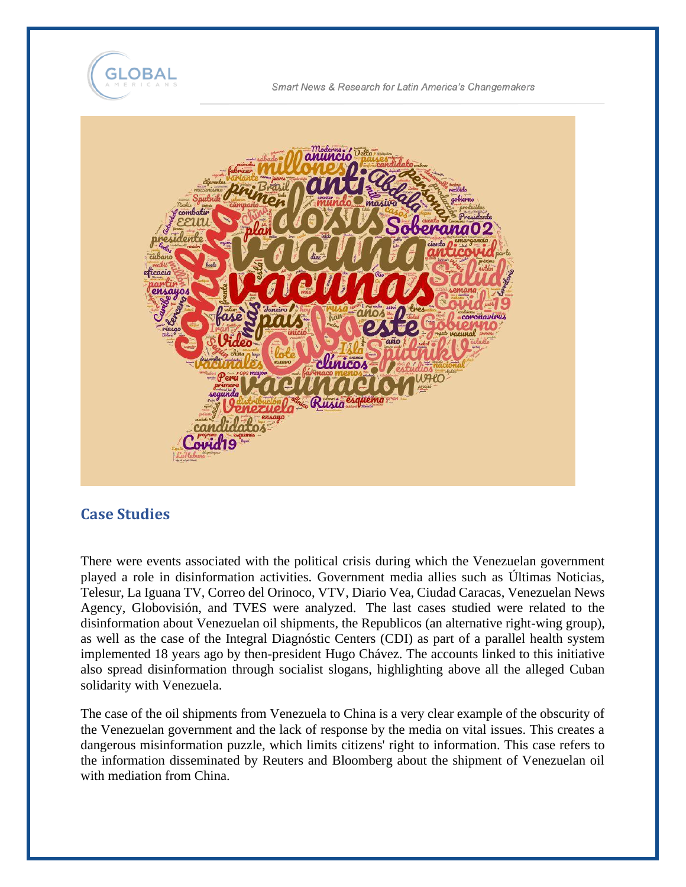



#### **Case Studies**

There were events associated with the political crisis during which the Venezuelan government played a role in disinformation activities. Government media allies such as Últimas Noticias, Telesur, La Iguana TV, Correo del Orinoco, VTV, Diario Vea, Ciudad Caracas, Venezuelan News Agency, Globovisión, and TVES were analyzed. The last cases studied were related to the disinformation about Venezuelan oil shipments, the Republicos (an alternative right-wing group), as well as the case of the Integral Diagnóstic Centers (CDI) as part of a parallel health system implemented 18 years ago by then-president Hugo Chávez. The accounts linked to this initiative also spread disinformation through socialist slogans, highlighting above all the alleged Cuban solidarity with Venezuela.

The case of the oil shipments from Venezuela to China is a very clear example of the obscurity of the Venezuelan government and the lack of response by the media on vital issues. This creates a dangerous misinformation puzzle, which limits citizens' right to information. This case refers to the information disseminated by Reuters and Bloomberg about the shipment of Venezuelan oil with mediation from China.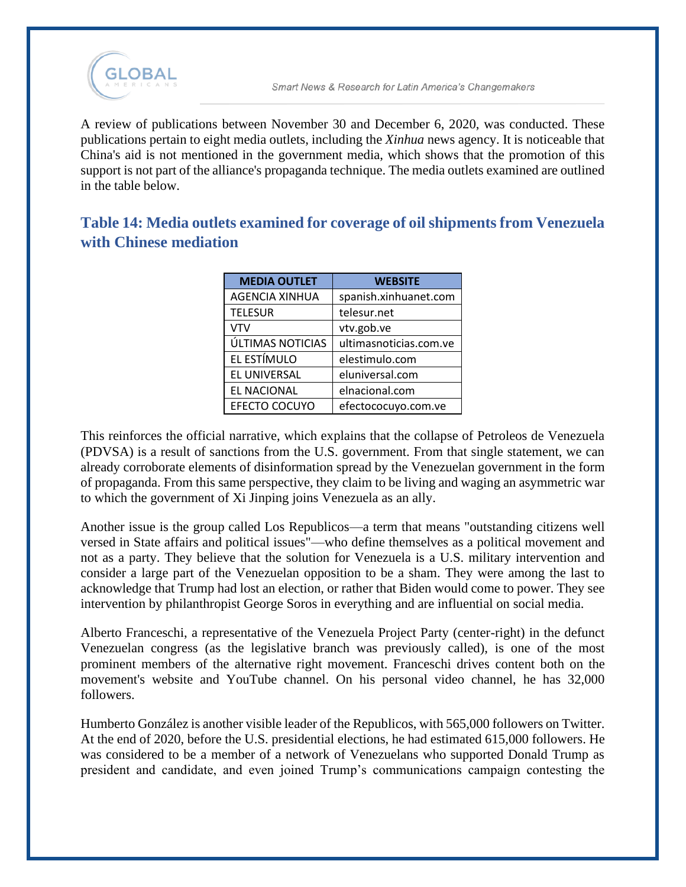

A review of publications between November 30 and December 6, 2020, was conducted. These publications pertain to eight media outlets, including the *Xinhua* news agency. It is noticeable that China's aid is not mentioned in the government media, which shows that the promotion of this support is not part of the alliance's propaganda technique. The media outlets examined are outlined in the table below.

**Table 14: Media outlets examined for coverage of oil shipments from Venezuela with Chinese mediation**

| <b>MEDIA OUTLET</b>   | <b>WEBSITE</b>         |
|-----------------------|------------------------|
| <b>AGENCIA XINHUA</b> | spanish.xinhuanet.com  |
| <b>TELESUR</b>        | telesur.net            |
| <b>VTV</b>            | vtv.gob.ve             |
| ÚLTIMAS NOTICIAS      | ultimasnoticias.com.ve |
| EL ESTÍMULO           | elestimulo.com         |
| EL UNIVERSAL          | eluniversal.com        |
| EL NACIONAL           | elnacional.com         |
| EFECTO COCUYO         | efectococuyo.com.ve    |

This reinforces the official narrative, which explains that the collapse of Petroleos de Venezuela (PDVSA) is a result of sanctions from the U.S. government. From that single statement, we can already corroborate elements of disinformation spread by the Venezuelan government in the form of propaganda. From this same perspective, they claim to be living and waging an asymmetric war to which the government of Xi Jinping joins Venezuela as an ally.

Another issue is the group called Los Republicos—a term that means "outstanding citizens well versed in State affairs and political issues"—who define themselves as a political movement and not as a party. They believe that the solution for Venezuela is a U.S. military intervention and consider a large part of the Venezuelan opposition to be a sham. They were among the last to acknowledge that Trump had lost an election, or rather that Biden would come to power. They see intervention by philanthropist George Soros in everything and are influential on social media.

Alberto Franceschi, a representative of the Venezuela Project Party (center-right) in the defunct Venezuelan congress (as the legislative branch was previously called), is one of the most prominent members of the alternative right movement. Franceschi drives content both on the movement's website and YouTube channel. On his personal video channel, he has 32,000 followers.

Humberto González is another visible leader of the Republicos, with 565,000 followers on Twitter. At the end of 2020, before the U.S. presidential elections, he had estimated 615,000 followers. He was considered to be a member of a network of Venezuelans who supported Donald Trump as president and candidate, and even joined Trump's communications campaign contesting the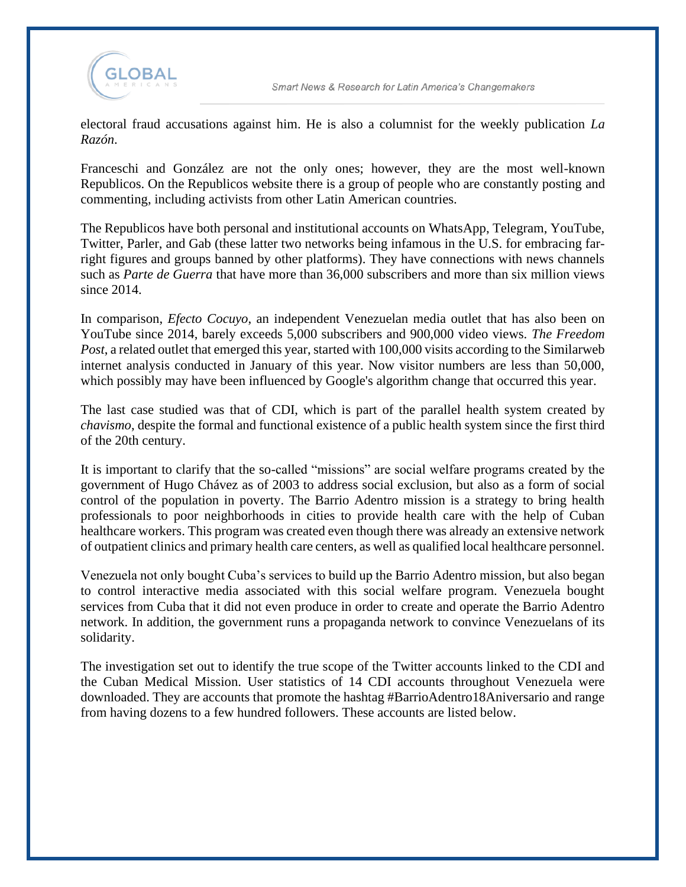

electoral fraud accusations against him. He is also a columnist for the weekly publication *La Razón*.

Franceschi and González are not the only ones; however, they are the most well-known Republicos. On the Republicos website there is a group of people who are constantly posting and commenting, including activists from other Latin American countries.

The Republicos have both personal and institutional accounts on WhatsApp, Telegram, YouTube, Twitter, Parler, and Gab (these latter two networks being infamous in the U.S. for embracing farright figures and groups banned by other platforms). They have connections with news channels such as *Parte de Guerra* that have more than 36,000 subscribers and more than six million views since 2014.

In comparison, *Efecto Cocuyo*, an independent Venezuelan media outlet that has also been on YouTube since 2014, barely exceeds 5,000 subscribers and 900,000 video views. *The Freedom Post*, a related outlet that emerged this year, started with 100,000 visits according to the Similarweb internet analysis conducted in January of this year. Now visitor numbers are less than 50,000, which possibly may have been influenced by Google's algorithm change that occurred this year.

The last case studied was that of CDI, which is part of the parallel health system created by *chavismo*, despite the formal and functional existence of a public health system since the first third of the 20th century.

It is important to clarify that the so-called "missions" are social welfare programs created by the government of Hugo Chávez as of 2003 to address social exclusion, but also as a form of social control of the population in poverty. The Barrio Adentro mission is a strategy to bring health professionals to poor neighborhoods in cities to provide health care with the help of Cuban healthcare workers. This program was created even though there was already an extensive network of outpatient clinics and primary health care centers, as well as qualified local healthcare personnel.

Venezuela not only bought Cuba's services to build up the Barrio Adentro mission, but also began to control interactive media associated with this social welfare program. Venezuela bought services from Cuba that it did not even produce in order to create and operate the Barrio Adentro network. In addition, the government runs a propaganda network to convince Venezuelans of its solidarity.

The investigation set out to identify the true scope of the Twitter accounts linked to the CDI and the Cuban Medical Mission. User statistics of 14 CDI accounts throughout Venezuela were downloaded. They are accounts that promote the hashtag #BarrioAdentro18Aniversario and range from having dozens to a few hundred followers. These accounts are listed below.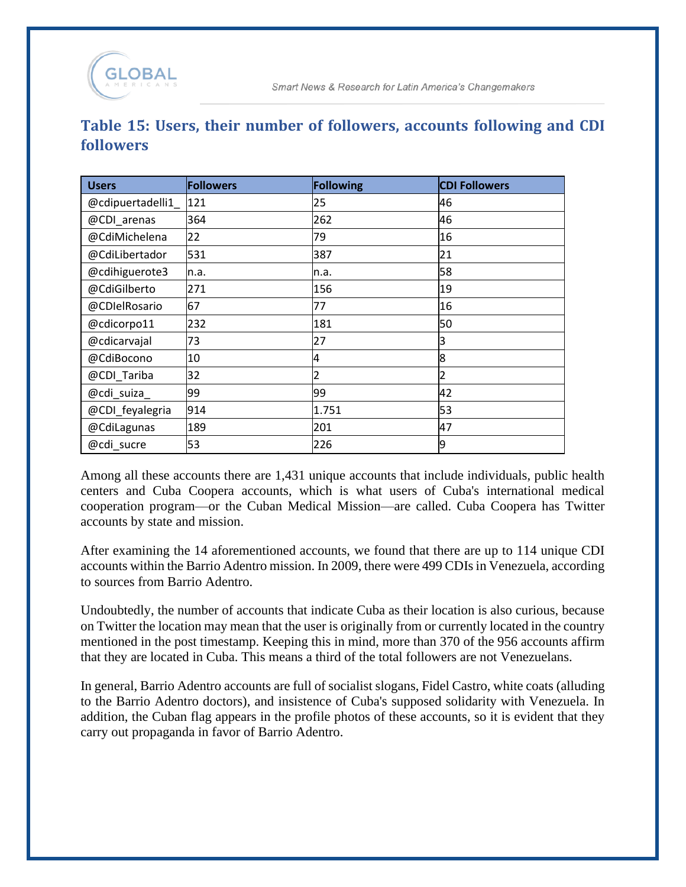# **Table 15: Users, their number of followers, accounts following and CDI followers**

| <b>Users</b>      | <b>Followers</b> | Following | <b>CDI Followers</b> |
|-------------------|------------------|-----------|----------------------|
| @cdipuertadelli1_ | 121              | 25        | 46                   |
| @CDI_arenas       | 364              | 262       | 46                   |
| @CdiMichelena     | 22               | 79        | 16                   |
| @CdiLibertador    | 531              | 387       | 21                   |
| @cdihiguerote3    | n.a.             | n.a.      | 58                   |
| @CdiGilberto      | 271              | 156       | 19                   |
| @CDIelRosario     | 67               | 77        | 16                   |
| @cdicorpo11       | 232              | 181       | 50                   |
| @cdicarvajal      | 73               | 27        | 3                    |
| @CdiBocono        | 10               | 4         | 8                    |
| @CDI_Tariba       | 32               | 2         | 2                    |
| @cdi_suiza_       | 99               | 99        | 42                   |
| @CDI_feyalegria   | 914              | 1.751     | 53                   |
| @CdiLagunas       | 189              | 201       | 47                   |
| @cdi sucre        | 53               | 226       | 19                   |

Among all these accounts there are 1,431 unique accounts that include individuals, public health centers and Cuba Coopera accounts, which is what users of Cuba's international medical cooperation program—or the Cuban Medical Mission—are called. Cuba Coopera has Twitter accounts by state and mission.

After examining the 14 aforementioned accounts, we found that there are up to 114 unique CDI accounts within the Barrio Adentro mission. In 2009, there were 499 CDIs in Venezuela, according to sources from Barrio Adentro.

Undoubtedly, the number of accounts that indicate Cuba as their location is also curious, because on Twitter the location may mean that the user is originally from or currently located in the country mentioned in the post timestamp. Keeping this in mind, more than 370 of the 956 accounts affirm that they are located in Cuba. This means a third of the total followers are not Venezuelans.

In general, Barrio Adentro accounts are full of socialist slogans, Fidel Castro, white coats (alluding to the Barrio Adentro doctors), and insistence of Cuba's supposed solidarity with Venezuela. In addition, the Cuban flag appears in the profile photos of these accounts, so it is evident that they carry out propaganda in favor of Barrio Adentro.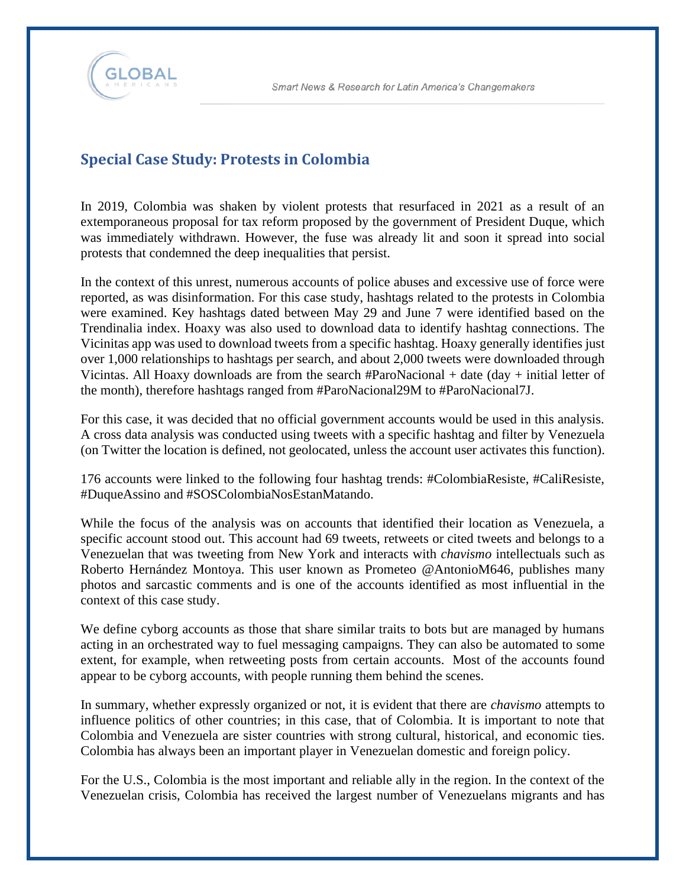

## **Special Case Study: Protests in Colombia**

In 2019, Colombia was shaken by violent protests that resurfaced in 2021 as a result of an extemporaneous proposal for tax reform proposed by the government of President Duque, which was immediately withdrawn. However, the fuse was already lit and soon it spread into social protests that condemned the deep inequalities that persist.

In the context of this unrest, numerous accounts of police abuses and excessive use of force were reported, as was disinformation. For this case study, hashtags related to the protests in Colombia were examined. Key hashtags dated between May 29 and June 7 were identified based on the Trendinalia index. Hoaxy was also used to download data to identify hashtag connections. The Vicinitas app was used to download tweets from a specific hashtag. Hoaxy generally identifies just over 1,000 relationships to hashtags per search, and about 2,000 tweets were downloaded through Vicintas. All Hoaxy downloads are from the search #ParoNacional + date (day + initial letter of the month), therefore hashtags ranged from #ParoNacional29M to #ParoNacional7J.

For this case, it was decided that no official government accounts would be used in this analysis. A cross data analysis was conducted using tweets with a specific hashtag and filter by Venezuela (on Twitter the location is defined, not geolocated, unless the account user activates this function).

176 accounts were linked to the following four hashtag trends: #ColombiaResiste, #CaliResiste, #DuqueAssino and #SOSColombiaNosEstanMatando.

While the focus of the analysis was on accounts that identified their location as Venezuela, a specific account stood out. This account had 69 tweets, retweets or cited tweets and belongs to a Venezuelan that was tweeting from New York and interacts with *chavismo* intellectuals such as Roberto Hernández Montoya. This user known as Prometeo @AntonioM646, publishes many photos and sarcastic comments and is one of the accounts identified as most influential in the context of this case study.

We define cyborg accounts as those that share similar traits to bots but are managed by humans acting in an orchestrated way to fuel messaging campaigns. They can also be automated to some extent, for example, when retweeting posts from certain accounts. Most of the accounts found appear to be cyborg accounts, with people running them behind the scenes.

In summary, whether expressly organized or not, it is evident that there are *chavismo* attempts to influence politics of other countries; in this case, that of Colombia. It is important to note that Colombia and Venezuela are sister countries with strong cultural, historical, and economic ties. Colombia has always been an important player in Venezuelan domestic and foreign policy.

For the U.S., Colombia is the most important and reliable ally in the region. In the context of the Venezuelan crisis, Colombia has received the largest number of Venezuelans migrants and has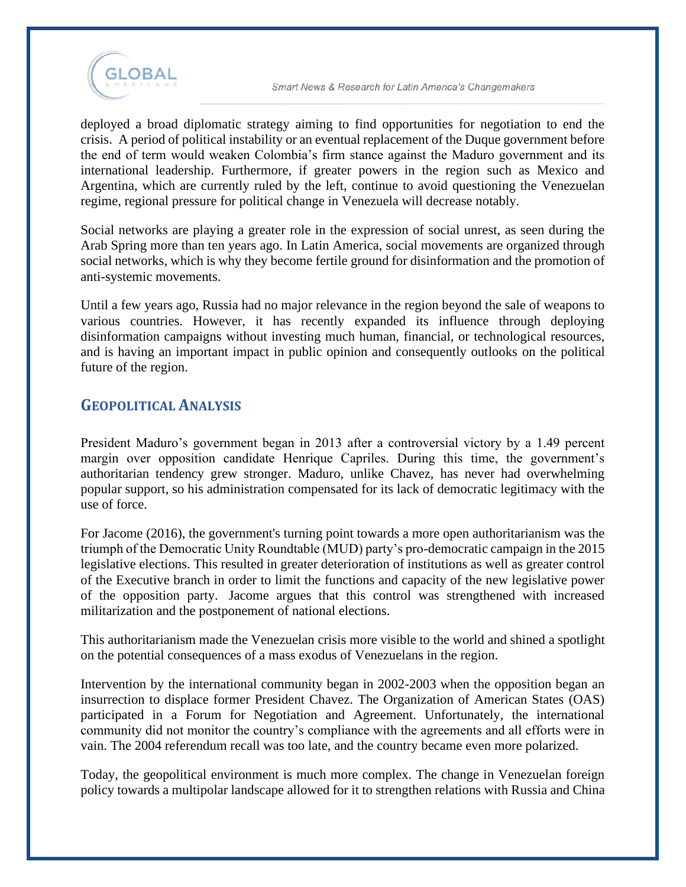

deployed a broad diplomatic strategy aiming to find opportunities for negotiation to end the crisis. A period of political instability or an eventual replacement of the Duque government before the end of term would weaken Colombia's firm stance against the Maduro government and its international leadership. Furthermore, if greater powers in the region such as Mexico and Argentina, which are currently ruled by the left, continue to avoid questioning the Venezuelan regime, regional pressure for political change in Venezuela will decrease notably.

Social networks are playing a greater role in the expression of social unrest, as seen during the Arab Spring more than ten years ago. In Latin America, social movements are organized through social networks, which is why they become fertile ground for disinformation and the promotion of anti-systemic movements.

Until a few years ago, Russia had no major relevance in the region beyond the sale of weapons to various countries. However, it has recently expanded its influence through deploying disinformation campaigns without investing much human, financial, or technological resources, and is having an important impact in public opinion and consequently outlooks on the political future of the region.

## **GEOPOLITICAL ANALYSIS**

President Maduro's government began in 2013 after a controversial victory by a 1.49 percent margin over opposition candidate Henrique Capriles. During this time, the government's authoritarian tendency grew stronger. Maduro, unlike Chavez, has never had overwhelming popular support, so his administration compensated for its lack of democratic legitimacy with the use of force.

For Jacome (2016), the government's turning point towards a more open authoritarianism was the triumph of the Democratic Unity Roundtable (MUD) party's pro-democratic campaign in the 2015 legislative elections. This resulted in greater deterioration of institutions as well as greater control of the Executive branch in order to limit the functions and capacity of the new legislative power of the opposition party. Jacome argues that this control was strengthened with increased militarization and the postponement of national elections.

This authoritarianism made the Venezuelan crisis more visible to the world and shined a spotlight on the potential consequences of a mass exodus of Venezuelans in the region.

Intervention by the international community began in 2002-2003 when the opposition began an insurrection to displace former President Chavez. The Organization of American States (OAS) participated in a Forum for Negotiation and Agreement. Unfortunately, the international community did not monitor the country's compliance with the agreements and all efforts were in vain. The 2004 referendum recall was too late, and the country became even more polarized.

Today, the geopolitical environment is much more complex. The change in Venezuelan foreign policy towards a multipolar landscape allowed for it to strengthen relations with Russia and China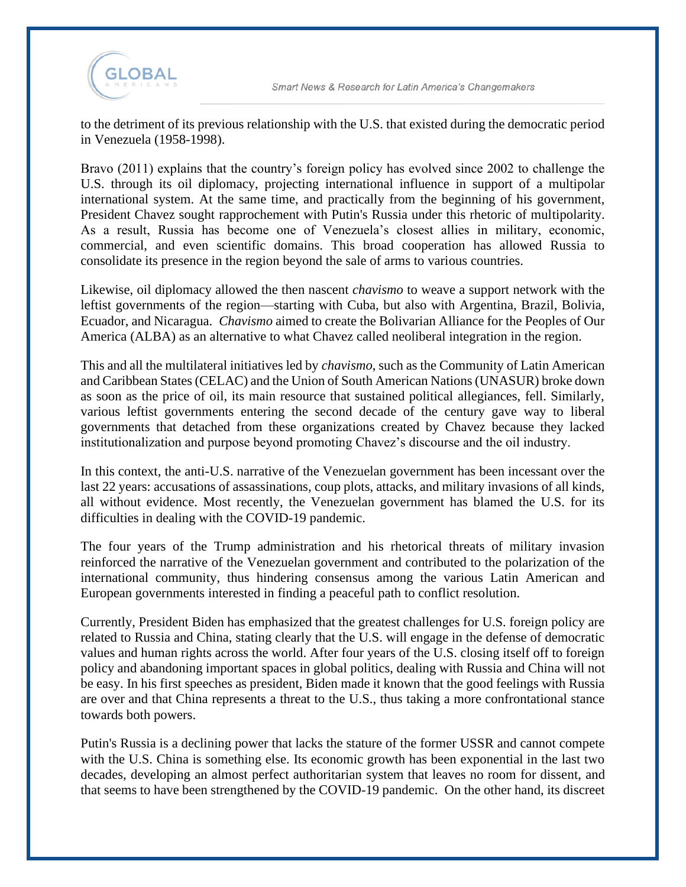

to the detriment of its previous relationship with the U.S. that existed during the democratic period in Venezuela (1958-1998).

Bravo (2011) explains that the country's foreign policy has evolved since 2002 to challenge the U.S. through its oil diplomacy, projecting international influence in support of a multipolar international system. At the same time, and practically from the beginning of his government, President Chavez sought rapprochement with Putin's Russia under this rhetoric of multipolarity. As a result, Russia has become one of Venezuela's closest allies in military, economic, commercial, and even scientific domains. This broad cooperation has allowed Russia to consolidate its presence in the region beyond the sale of arms to various countries.

Likewise, oil diplomacy allowed the then nascent *chavismo* to weave a support network with the leftist governments of the region—starting with Cuba, but also with Argentina, Brazil, Bolivia, Ecuador, and Nicaragua. *Chavismo* aimed to create the Bolivarian Alliance for the Peoples of Our America (ALBA) as an alternative to what Chavez called neoliberal integration in the region.

This and all the multilateral initiatives led by *chavismo*, such as the Community of Latin American and Caribbean States (CELAC) and the Union of South American Nations (UNASUR) broke down as soon as the price of oil, its main resource that sustained political allegiances, fell. Similarly, various leftist governments entering the second decade of the century gave way to liberal governments that detached from these organizations created by Chavez because they lacked institutionalization and purpose beyond promoting Chavez's discourse and the oil industry.

In this context, the anti-U.S. narrative of the Venezuelan government has been incessant over the last 22 years: accusations of assassinations, coup plots, attacks, and military invasions of all kinds, all without evidence. Most recently, the Venezuelan government has blamed the U.S. for its difficulties in dealing with the COVID-19 pandemic.

The four years of the Trump administration and his rhetorical threats of military invasion reinforced the narrative of the Venezuelan government and contributed to the polarization of the international community, thus hindering consensus among the various Latin American and European governments interested in finding a peaceful path to conflict resolution.

Currently, President Biden has emphasized that the greatest challenges for U.S. foreign policy are related to Russia and China, stating clearly that the U.S. will engage in the defense of democratic values and human rights across the world. After four years of the U.S. closing itself off to foreign policy and abandoning important spaces in global politics, dealing with Russia and China will not be easy. In his first speeches as president, Biden made it known that the good feelings with Russia are over and that China represents a threat to the U.S., thus taking a more confrontational stance towards both powers.

Putin's Russia is a declining power that lacks the stature of the former USSR and cannot compete with the U.S. China is something else. Its economic growth has been exponential in the last two decades, developing an almost perfect authoritarian system that leaves no room for dissent, and that seems to have been strengthened by the COVID-19 pandemic. On the other hand, its discreet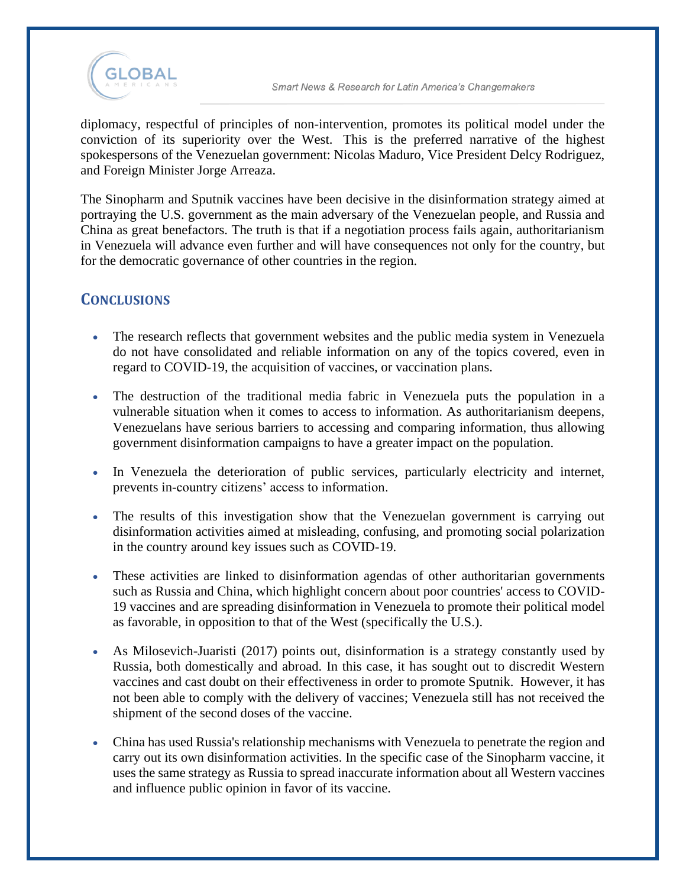

diplomacy, respectful of principles of non-intervention, promotes its political model under the conviction of its superiority over the West. This is the preferred narrative of the highest spokespersons of the Venezuelan government: Nicolas Maduro, Vice President Delcy Rodriguez, and Foreign Minister Jorge Arreaza.

The Sinopharm and Sputnik vaccines have been decisive in the disinformation strategy aimed at portraying the U.S. government as the main adversary of the Venezuelan people, and Russia and China as great benefactors. The truth is that if a negotiation process fails again, authoritarianism in Venezuela will advance even further and will have consequences not only for the country, but for the democratic governance of other countries in the region.

## **CONCLUSIONS**

- The research reflects that government websites and the public media system in Venezuela do not have consolidated and reliable information on any of the topics covered, even in regard to COVID-19, the acquisition of vaccines, or vaccination plans.
- The destruction of the traditional media fabric in Venezuela puts the population in a vulnerable situation when it comes to access to information. As authoritarianism deepens, Venezuelans have serious barriers to accessing and comparing information, thus allowing government disinformation campaigns to have a greater impact on the population.
- In Venezuela the deterioration of public services, particularly electricity and internet, prevents in-country citizens' access to information.
- The results of this investigation show that the Venezuelan government is carrying out disinformation activities aimed at misleading, confusing, and promoting social polarization in the country around key issues such as COVID-19.
- These activities are linked to disinformation agendas of other authoritarian governments such as Russia and China, which highlight concern about poor countries' access to COVID-19 vaccines and are spreading disinformation in Venezuela to promote their political model as favorable, in opposition to that of the West (specifically the U.S.).
- As Milosevich-Juaristi (2017) points out, disinformation is a strategy constantly used by Russia, both domestically and abroad. In this case, it has sought out to discredit Western vaccines and cast doubt on their effectiveness in order to promote Sputnik. However, it has not been able to comply with the delivery of vaccines; Venezuela still has not received the shipment of the second doses of the vaccine.
- China has used Russia's relationship mechanisms with Venezuela to penetrate the region and carry out its own disinformation activities. In the specific case of the Sinopharm vaccine, it uses the same strategy as Russia to spread inaccurate information about all Western vaccines and influence public opinion in favor of its vaccine.